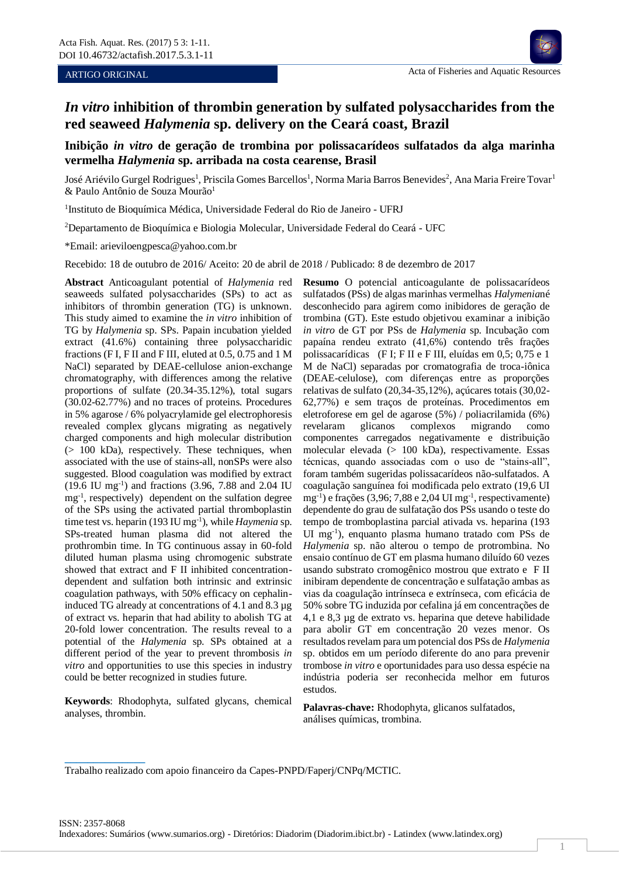## ARTIGO ORIGINAL

# **Inibição** *in vitro* **de geração de trombina por polissacarídeos sulfatados da alga marinha vermelha** *Halymenia* **sp. arribada na costa cearense, Brasil**

José Ariévilo Gurgel Rodrigues<sup>1</sup>, Priscila Gomes Barcellos<sup>1</sup>, Norma Maria Barros Benevides<sup>2</sup>, Ana Maria Freire Tovar<sup>1</sup>  $\&$  Paulo Antônio de Souza Mourão<sup>1</sup>

<sup>1</sup>Instituto de Bioquímica Médica, Universidade Federal do Rio de Janeiro - UFRJ

<sup>2</sup>Departamento de Bioquímica e Biologia Molecular, Universidade Federal do Ceará - UFC

\*Email: arieviloengpesca@yahoo.com.br

Recebido: 18 de outubro de 2016/ Aceito: 20 de abril de 2018 / Publicado: 8 de dezembro de 2017

**Abstract** Anticoagulant potential of *Halymenia* red seaweeds sulfated polysaccharides (SPs) to act as inhibitors of thrombin generation (TG) is unknown. This study aimed to examine the *in vitro* inhibition of TG by *Halymenia* sp. SPs. Papain incubation yielded extract (41.6%) containing three polysaccharidic fractions (F I, F II and F III, eluted at 0.5, 0.75 and 1 M NaCl) separated by DEAE-cellulose anion-exchange chromatography, with differences among the relative proportions of sulfate (20.34-35.12%), total sugars (30.02-62.77%) and no traces of proteins. Procedures in 5% agarose / 6% polyacrylamide gel electrophoresis revealed complex glycans migrating as negatively charged components and high molecular distribution (> 100 kDa), respectively. These techniques, when associated with the use of stains-all, nonSPs were also suggested. Blood coagulation was modified by extract (19.6 IU mg-1 ) and fractions (3.96, 7.88 and 2.04 IU mg-1 , respectively) dependent on the sulfation degree of the SPs using the activated partial thromboplastin time test vs. heparin (193 IU mg<sup>-1</sup>), while *Haymenia* sp. SPs-treated human plasma did not altered the prothrombin time. In TG continuous assay in 60-fold diluted human plasma using chromogenic substrate showed that extract and F II inhibited concentrationdependent and sulfation both intrinsic and extrinsic coagulation pathways, with 50% efficacy on cephalininduced TG already at concentrations of 4.1 and 8.3 µg of extract vs. heparin that had ability to abolish TG at 20-fold lower concentration. The results reveal to a potential of the *Halymenia* sp. SPs obtained at a different period of the year to prevent thrombosis *in vitro* and opportunities to use this species in industry could be better recognized in studies future.

**Keywords**: Rhodophyta, sulfated glycans, chemical analyses, thrombin. **Palavras-chave:** Rhodophyta, glicanos sulfatados,

**\_\_\_\_\_\_\_\_\_\_\_\_\_\_**

**Resumo** O potencial anticoagulante de polissacarídeos sulfatados (PSs) de algas marinhas vermelhas *Halymenia*né desconhecido para agirem como inibidores de geração de trombina (GT). Este estudo objetivou examinar a inibição *in vitro* de GT por PSs de *Halymenia* sp. Incubação com papaína rendeu extrato (41,6%) contendo três frações polissacarídicas (F I; F II e F III, eluídas em 0,5; 0,75 e 1 M de NaCl) separadas por cromatografia de troca-iônica (DEAE-celulose), com diferenças entre as proporções relativas de sulfato (20,34-35,12%), açúcares totais (30,02- 62,77%) e sem traços de proteínas. Procedimentos em eletroforese em gel de agarose (5%) / poliacrilamida (6%) revelaram glicanos complexos migrando como componentes carregados negativamente e distribuição molecular elevada (> 100 kDa), respectivamente. Essas técnicas, quando associadas com o uso de "stains-all", foram também sugeridas polissacarídeos não-sulfatados. A coagulação sanguínea foi modificada pelo extrato (19,6 UI mg<sup>-1</sup>) e frações (3,96; 7,88 e 2,04 UI mg<sup>-1</sup>, respectivamente) dependente do grau de sulfatação dos PSs usando o teste do tempo de tromboplastina parcial ativada vs. heparina (193 UI mg-1 ), enquanto plasma humano tratado com PSs de *Halymenia* sp. não alterou o tempo de protrombina. No ensaio contínuo de GT em plasma humano diluído 60 vezes usando substrato cromogênico mostrou que extrato e F II inibiram dependente de concentração e sulfatação ambas as vias da coagulação intrínseca e extrínseca, com eficácia de 50% sobre TG induzida por cefalina já em concentrações de 4,1 e 8,3 µg de extrato vs. heparina que deteve habilidade para abolir GT em concentração 20 vezes menor. Os resultados revelam para um potencial dos PSs de *Halymenia* sp. obtidos em um período diferente do ano para prevenir trombose *in vitro* e oportunidades para uso dessa espécie na indústria poderia ser reconhecida melhor em futuros estudos.

análises químicas, trombina.

Trabalho realizado com apoio financeiro da Capes-PNPD/Faperj/CNPq/MCTIC.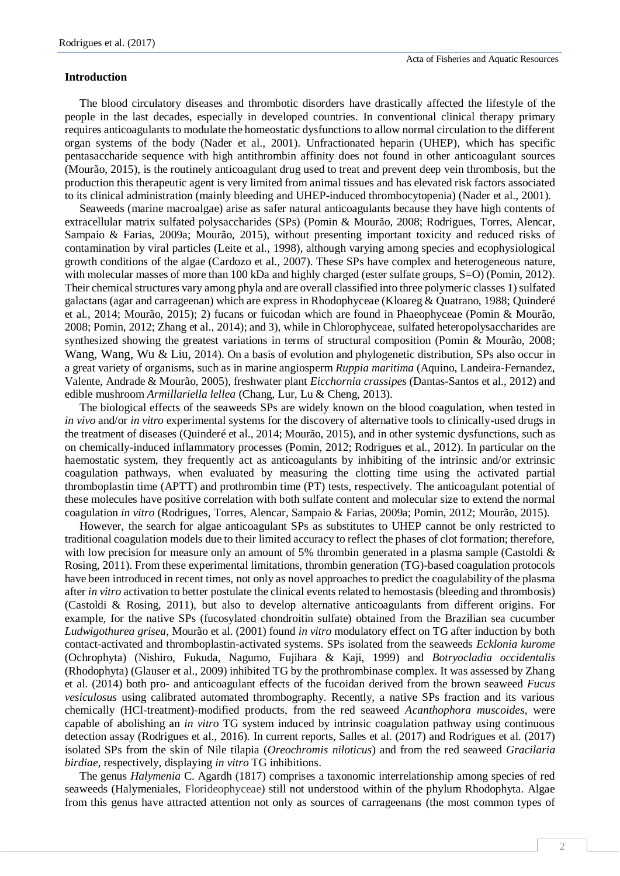## **Introduction**

The blood circulatory diseases and thrombotic disorders have drastically affected the lifestyle of the people in the last decades, especially in developed countries. In conventional clinical therapy primary requires anticoagulants to modulate the homeostatic dysfunctions to allow normal circulation to the different organ systems of the body (Nader et al., 2001). Unfractionated heparin (UHEP), which has specific pentasaccharide sequence with high antithrombin affinity does not found in other anticoagulant sources (Mourão, 2015), is the routinely anticoagulant drug used to treat and prevent deep vein thrombosis, but the production this therapeutic agent is very limited from animal tissues and has elevated risk factors associated to its clinical administration (mainly bleeding and UHEP-induced thrombocytopenia) (Nader et al., 2001).

Seaweeds (marine macroalgae) arise as safer natural anticoagulants because they have high contents of extracellular matrix sulfated polysaccharides (SPs) (Pomin & Mourão, 2008; Rodrigues, Torres, Alencar, Sampaio & Farias, 2009a; Mourão, 2015), without presenting important toxicity and reduced risks of contamination by viral particles (Leite et al., 1998), although varying among species and ecophysiological growth conditions of the algae (Cardozo et al., 2007). These SPs have complex and heterogeneous nature, with molecular masses of more than 100 kDa and highly charged (ester sulfate groups,  $S=O$ ) (Pomin, 2012). Their chemical structures vary among phyla and are overall classified into three polymeric classes 1) sulfated galactans (agar and carrageenan) which are express in Rhodophyceae (Kloareg & Quatrano, 1988; Quinderé et al., 2014; Mourão, 2015); 2) fucans or fuicodan which are found in Phaeophyceae (Pomin & Mourão, 2008; Pomin, 2012; Zhang et al., 2014); and 3), while in Chlorophyceae, sulfated heteropolysaccharides are synthesized showing the greatest variations in terms of structural composition (Pomin & Mourão, 2008; Wang, Wang, Wu & Liu, 2014). On a basis of evolution and phylogenetic distribution, SPs also occur in a great variety of organisms, such as in marine angiosperm *Ruppia maritima* (Aquino, Landeira-Fernandez, Valente, Andrade & Mourão, 2005), freshwater plant *Eicchornia crassipes* (Dantas-Santos et al., 2012) and edible mushroom *Armillariella lellea* (Chang, Lur, Lu & Cheng, 2013).

The biological effects of the seaweeds SPs are widely known on the blood coagulation, when tested in *in vivo* and/or *in vitro* experimental systems for the discovery of alternative tools to clinically-used drugs in the treatment of diseases (Quinderé et al., 2014; Mourão, 2015), and in other systemic dysfunctions, such as on chemically-induced inflammatory processes (Pomin, 2012; Rodrigues et al., 2012). In particular on the haemostatic system, they frequently act as anticoagulants by inhibiting of the intrinsic and/or extrinsic coagulation pathways, when evaluated by measuring the clotting time using the activated partial thromboplastin time (APTT) and prothrombin time (PT) tests, respectively. The anticoagulant potential of these molecules have positive correlation with both sulfate content and molecular size to extend the normal coagulation *in vitro* (Rodrigues, Torres, Alencar, Sampaio & Farias, 2009a; Pomin, 2012; Mourão, 2015).

However, the search for algae anticoagulant SPs as substitutes to UHEP cannot be only restricted to traditional coagulation models due to their limited accuracy to reflect the phases of clot formation; therefore, with low precision for measure only an amount of 5% thrombin generated in a plasma sample (Castoldi & Rosing, 2011). From these experimental limitations, thrombin generation (TG)-based coagulation protocols have been introduced in recent times, not only as novel approaches to predict the coagulability of the plasma after *in vitro* activation to better postulate the clinical events related to hemostasis (bleeding and thrombosis) (Castoldi & Rosing, 2011), but also to develop alternative anticoagulants from different origins. For example, for the native SPs (fucosylated chondroitin sulfate) obtained from the Brazilian sea cucumber *Ludwigothurea grisea*, Mourão et al. (2001) found *in vitro* modulatory effect on TG after induction by both contact-activated and thromboplastin-activated systems. SPs isolated from the seaweeds *Ecklonia kurome* (Ochrophyta) (Nishiro, Fukuda, Nagumo, Fujihara & Kaji, 1999) and *Botryocladia occidentalis* (Rhodophyta) (Glauser et al., 2009) inhibited TG by the prothrombinase complex. It was assessed by Zhang et al. (2014) both pro- and anticoagulant effects of the fucoidan derived from the brown seaweed *Fucus vesiculosus* using calibrated automated thrombography. Recently, a native SPs fraction and its various chemically (HCl-treatment)-modified products, from the red seaweed *Acanthophora muscoides*, were capable of abolishing an *in vitro* TG system induced by intrinsic coagulation pathway using continuous detection assay (Rodrigues et al., 2016). In current reports, Salles et al. (2017) and Rodrigues et al. (2017) isolated SPs from the skin of Nile tilapia (*Oreochromis niloticus*) and from the red seaweed *Gracilaria birdiae*, respectively, displaying *in vitro* TG inhibitions.

The genus *Halymenia* C. Agardh (1817) comprises a taxonomic interrelationship among species of red seaweeds (Halymeniales, Florideophyceae) still not understood within of the phylum Rhodophyta. Algae from this genus have attracted attention not only as sources of carrageenans (the most common types of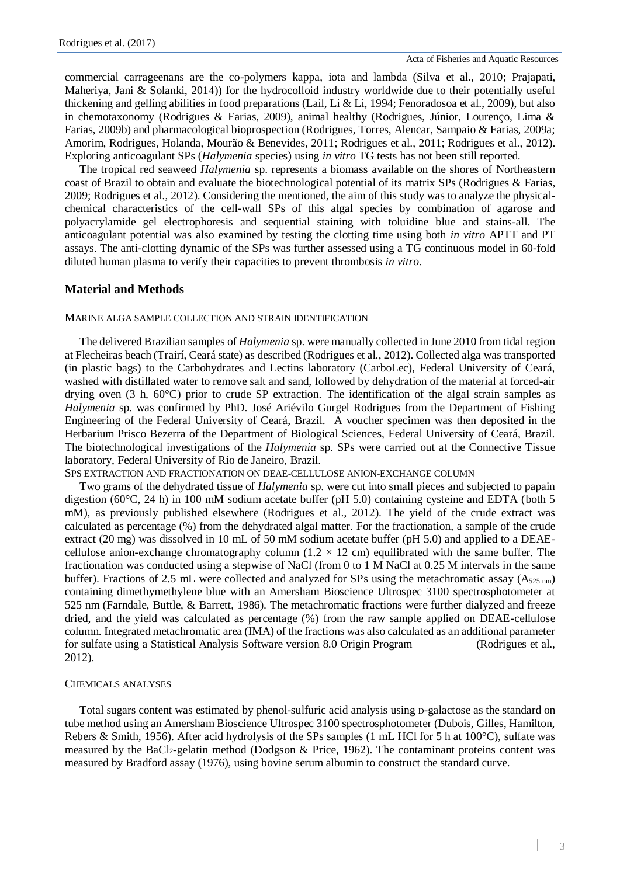commercial carrageenans are the co-polymers kappa, iota and lambda (Silva et al., 2010; Prajapati, Maheriya, Jani & Solanki, 2014)) for the hydrocolloid industry worldwide due to their potentially useful thickening and gelling abilities in food preparations (Lail, Li & Li, 1994; Fenoradosoa et al., 2009), but also in chemotaxonomy (Rodrigues & Farias, 2009), animal healthy (Rodrigues, Júnior, Lourenço, Lima & Farias, 2009b) and pharmacological bioprospection (Rodrigues, Torres, Alencar, Sampaio & Farias, 2009a; Amorim, Rodrigues, Holanda, Mourão & Benevides, 2011; Rodrigues et al., 2011; Rodrigues et al., 2012). Exploring anticoagulant SPs (*Halymenia* species) using *in vitro* TG tests has not been still reported.

The tropical red seaweed *Halymenia* sp. represents a biomass available on the shores of Northeastern coast of Brazil to obtain and evaluate the biotechnological potential of its matrix SPs (Rodrigues & Farias, 2009; Rodrigues et al., 2012). Considering the mentioned, the aim of this study was to analyze the physicalchemical characteristics of the cell-wall SPs of this algal species by combination of agarose and polyacrylamide gel electrophoresis and sequential staining with toluidine blue and stains-all. The anticoagulant potential was also examined by testing the clotting time using both *in vitro* APTT and PT assays. The anti-clotting dynamic of the SPs was further assessed using a TG continuous model in 60-fold diluted human plasma to verify their capacities to prevent thrombosis *in vitro*.

# **Material and Methods**

#### MARINE ALGA SAMPLE COLLECTION AND STRAIN IDENTIFICATION

The delivered Brazilian samples of *Halymenia* sp. were manually collected in June 2010 from tidal region at Flecheiras beach (Trairí, Ceará state) as described (Rodrigues et al., 2012). Collected alga was transported (in plastic bags) to the Carbohydrates and Lectins laboratory (CarboLec), Federal University of Ceará, washed with distillated water to remove salt and sand, followed by dehydration of the material at forced-air drying oven (3 h, 60°C) prior to crude SP extraction. The identification of the algal strain samples as *Halymenia* sp. was confirmed by PhD. José Ariévilo Gurgel Rodrigues from the Department of Fishing Engineering of the Federal University of Ceará, Brazil. A voucher specimen was then deposited in the Herbarium Prisco Bezerra of the Department of Biological Sciences, Federal University of Ceará, Brazil. The biotechnological investigations of the *Halymenia* sp. SPs were carried out at the Connective Tissue laboratory, Federal University of Rio de Janeiro, Brazil.

## SPS EXTRACTION AND FRACTIONATION ON DEAE-CELLULOSE ANION-EXCHANGE COLUMN

Two grams of the dehydrated tissue of *Halymenia* sp. were cut into small pieces and subjected to papain digestion (60°C, 24 h) in 100 mM sodium acetate buffer (pH 5.0) containing cysteine and EDTA (both 5 mM), as previously published elsewhere (Rodrigues et al., 2012). The yield of the crude extract was calculated as percentage (%) from the dehydrated algal matter. For the fractionation, a sample of the crude extract (20 mg) was dissolved in 10 mL of 50 mM sodium acetate buffer (pH 5.0) and applied to a DEAEcellulose anion-exchange chromatography column (1.2  $\times$  12 cm) equilibrated with the same buffer. The fractionation was conducted using a stepwise of NaCl (from 0 to 1 M NaCl at 0.25 M intervals in the same buffer). Fractions of 2.5 mL were collected and analyzed for SPs using the metachromatic assay ( $A_{525 \text{ nm}}$ ) containing dimethymethylene blue with an Amersham Bioscience Ultrospec 3100 spectrosphotometer at 525 nm (Farndale, Buttle, & Barrett, 1986). The metachromatic fractions were further dialyzed and freeze dried, and the yield was calculated as percentage (%) from the raw sample applied on DEAE-cellulose column. Integrated metachromatic area (IMA) of the fractions was also calculated as an additional parameter for sulfate using a Statistical Analysis Software version 8.0 Origin Program (Rodrigues et al., 2012).

#### CHEMICALS ANALYSES

Total sugars content was estimated by phenol-sulfuric acid analysis using D-galactose as the standard on tube method using an Amersham Bioscience Ultrospec 3100 spectrosphotometer (Dubois, Gilles, Hamilton, Rebers & Smith, 1956). After acid hydrolysis of the SPs samples (1 mL HCl for 5 h at 100°C), sulfate was measured by the BaCl2-gelatin method (Dodgson & Price, 1962). The contaminant proteins content was measured by Bradford assay (1976), using bovine serum albumin to construct the standard curve.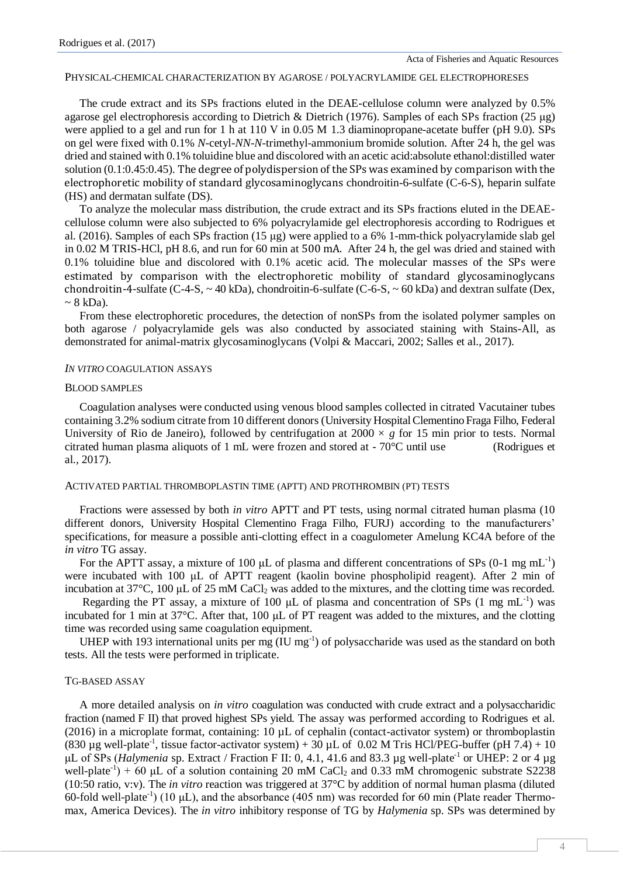#### PHYSICAL-CHEMICAL CHARACTERIZATION BY AGAROSE / POLYACRYLAMIDE GEL ELECTROPHORESES

The crude extract and its SPs fractions eluted in the DEAE-cellulose column were analyzed by 0.5% agarose gel electrophoresis according to Dietrich & Dietrich (1976). Samples of each SPs fraction (25 μg) were applied to a gel and run for 1 h at 110 V in 0.05 M 1.3 diaminopropane-acetate buffer (pH 9.0). SPs on gel were fixed with 0.1% *N*-cetyl-*NN*-*N*-trimethyl-ammonium bromide solution. After 24 h, the gel was dried and stained with 0.1% toluidine blue and discolored with an acetic acid:absolute ethanol:distilled water solution (0.1:0.45:0.45). The degree of polydispersion of the SPs was examined by comparison with the electrophoretic mobility of standard glycosaminoglycans chondroitin-6-sulfate (C-6-S), heparin sulfate (HS) and dermatan sulfate (DS).

To analyze the molecular mass distribution, the crude extract and its SPs fractions eluted in the DEAEcellulose column were also subjected to 6% polyacrylamide gel electrophoresis according to Rodrigues et al. (2016). Samples of each SPs fraction (15 μg) were applied to a 6% 1-mm-thick polyacrylamide slab gel in 0.02 M TRIS-HCl, pH 8.6, and run for 60 min at 500 mA. After 24 h, the gel was dried and stained with 0.1% toluidine blue and discolored with 0.1% acetic acid. The molecular masses of the SPs were estimated by comparison with the electrophoretic mobility of standard glycosaminoglycans chondroitin-4-sulfate (C-4-S,  $\sim$  40 kDa), chondroitin-6-sulfate (C-6-S,  $\sim$  60 kDa) and dextran sulfate (Dex,  $\sim$  8 kDa).

From these electrophoretic procedures, the detection of nonSPs from the isolated polymer samples on both agarose / polyacrylamide gels was also conducted by associated staining with Stains-All, as demonstrated for animal-matrix glycosaminoglycans (Volpi & Maccari, 2002; Salles et al., 2017).

### *IN VITRO* COAGULATION ASSAYS

#### BLOOD SAMPLES

Coagulation analyses were conducted using venous blood samples collected in citrated Vacutainer tubes containing 3.2% sodium citrate from 10 different donors (University Hospital Clementino Fraga Filho, Federal University of Rio de Janeiro), followed by centrifugation at  $2000 \times g$  for 15 min prior to tests. Normal citrated human plasma aliquots of 1 mL were frozen and stored at - 70°C until use (Rodrigues et al., 2017).

#### ACTIVATED PARTIAL THROMBOPLASTIN TIME (APTT) AND PROTHROMBIN (PT) TESTS

Fractions were assessed by both *in vitro* APTT and PT tests, using normal citrated human plasma (10 different donors, University Hospital Clementino Fraga Filho, FURJ) according to the manufacturers' specifications, for measure a possible anti-clotting effect in a coagulometer Amelung KC4A before of the *in vitro* TG assay.

For the APTT assay, a mixture of 100  $\mu$ L of plasma and different concentrations of SPs (0-1 mg mL<sup>-1</sup>) were incubated with 100 μL of APTT reagent (kaolin bovine phospholipid reagent). After 2 min of incubation at 37°C, 100 μL of 25 mM CaCl<sup>2</sup> was added to the mixtures, and the clotting time was recorded.

Regarding the PT assay, a mixture of 100  $\mu$ L of plasma and concentration of SPs (1 mg mL<sup>-1</sup>) was incubated for 1 min at 37°C. After that, 100 μL of PT reagent was added to the mixtures, and the clotting time was recorded using same coagulation equipment.

UHEP with 193 international units per mg  $(\text{IU mg}^{-1})$  of polysaccharide was used as the standard on both tests. All the tests were performed in triplicate.

## TG-BASED ASSAY

A more detailed analysis on *in vitro* coagulation was conducted with crude extract and a polysaccharidic fraction (named F II) that proved highest SPs yield. The assay was performed according to Rodrigues et al. (2016) in a microplate format, containing:  $10 \mu L$  of cephalin (contact-activator system) or thromboplastin (830 µg well-plate<sup>-1</sup>, tissue factor-activator system) + 30 µL of 0.02 M Tris HCl/PEG-buffer (pH 7.4) + 10 μL of SPs (*Halymenia* sp. Extract / Fraction F II: 0, 4.1, 41.6 and 83.3 μg well-plate<sup>-1</sup> or UHEP: 2 or 4 μg well-plate<sup>-1</sup>) + 60 µL of a solution containing 20 mM CaCl<sub>2</sub> and 0.33 mM chromogenic substrate S2238 (10:50 ratio, v:v). The *in vitro* reaction was triggered at 37°C by addition of normal human plasma (diluted 60-fold well-plate<sup>-1</sup>) (10  $\mu$ L), and the absorbance (405 nm) was recorded for 60 min (Plate reader Thermomax, America Devices). The *in vitro* inhibitory response of TG by *Halymenia* sp. SPs was determined by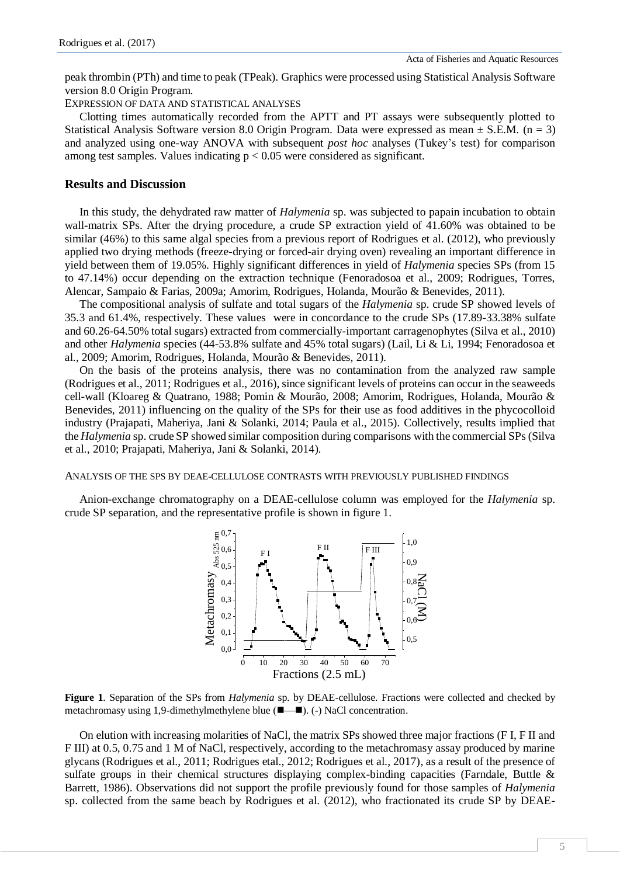peak thrombin (PTh) and time to peak (TPeak). Graphics were processed using Statistical Analysis Software version 8.0 Origin Program.

EXPRESSION OF DATA AND STATISTICAL ANALYSES

Clotting times automatically recorded from the APTT and PT assays were subsequently plotted to Statistical Analysis Software version 8.0 Origin Program. Data were expressed as mean  $\pm$  S.E.M. (n = 3) and analyzed using one-way ANOVA with subsequent *post hoc* analyses (Tukey's test) for comparison among test samples. Values indicating  $p < 0.05$  were considered as significant.

## **Results and Discussion**

In this study, the dehydrated raw matter of *Halymenia* sp. was subjected to papain incubation to obtain wall-matrix SPs. After the drying procedure, a crude SP extraction yield of 41.60% was obtained to be similar (46%) to this same algal species from a previous report of Rodrigues et al. (2012), who previously applied two drying methods (freeze-drying or forced-air drying oven) revealing an important difference in yield between them of 19.05%. Highly significant differences in yield of *Halymenia* species SPs (from 15 to 47.14%) occur depending on the extraction technique (Fenoradosoa et al., 2009; Rodrigues, Torres, Alencar, Sampaio & Farias, 2009a; Amorim, Rodrigues, Holanda, Mourão & Benevides, 2011).

The compositional analysis of sulfate and total sugars of the *Halymenia* sp. crude SP showed levels of 35.3 and 61.4%, respectively. These values were in concordance to the crude SPs (17.89-33.38% sulfate and 60.26-64.50% total sugars) extracted from commercially-important carragenophytes (Silva et al., 2010) and other *Halymenia* species (44-53.8% sulfate and 45% total sugars) (Lail, Li & Li, 1994; Fenoradosoa et al., 2009; Amorim, Rodrigues, Holanda, Mourão & Benevides, 2011).

On the basis of the proteins analysis, there was no contamination from the analyzed raw sample (Rodrigues et al., 2011; Rodrigues et al., 2016), since significant levels of proteins can occur in the seaweeds cell-wall (Kloareg & Quatrano, 1988; Pomin & Mourão, 2008; Amorim, Rodrigues, Holanda, Mourão & Benevides, 2011) influencing on the quality of the SPs for their use as food additives in the phycocolloid industry (Prajapati, Maheriya, Jani & Solanki, 2014; Paula et al., 2015). Collectively, results implied that the *Halymenia* sp. crude SP showed similar composition during comparisons with the commercial SPs (Silva et al., 2010; Prajapati, Maheriya, Jani & Solanki, 2014).

## ANALYSIS OF THE SPS BY DEAE-CELLULOSE CONTRASTS WITH PREVIOUSLY PUBLISHED FINDINGS

Anion-exchange chromatography on a DEAE-cellulose column was employed for the *Halymenia* sp. crude SP separation, and the representative profile is shown in figure 1.



**Figure 1**. Separation of the SPs from *Halymenia* sp*.* by DEAE-cellulose. Fractions were collected and checked by metachromasy using 1,9-dimethylmethylene blue (■—■). (-) NaCl concentration.

On elution with increasing molarities of NaCl, the matrix SPs showed three major fractions (F I, F II and F III) at 0.5, 0.75 and 1 M of NaCl, respectively, according to the metachromasy assay produced by marine glycans (Rodrigues et al., 2011; Rodrigues etal., 2012; Rodrigues et al., 2017), as a result of the presence of sulfate groups in their chemical structures displaying complex-binding capacities (Farndale, Buttle & Barrett, 1986). Observations did not support the profile previously found for those samples of *Halymenia*  sp. collected from the same beach by Rodrigues et al. (2012), who fractionated its crude SP by DEAE-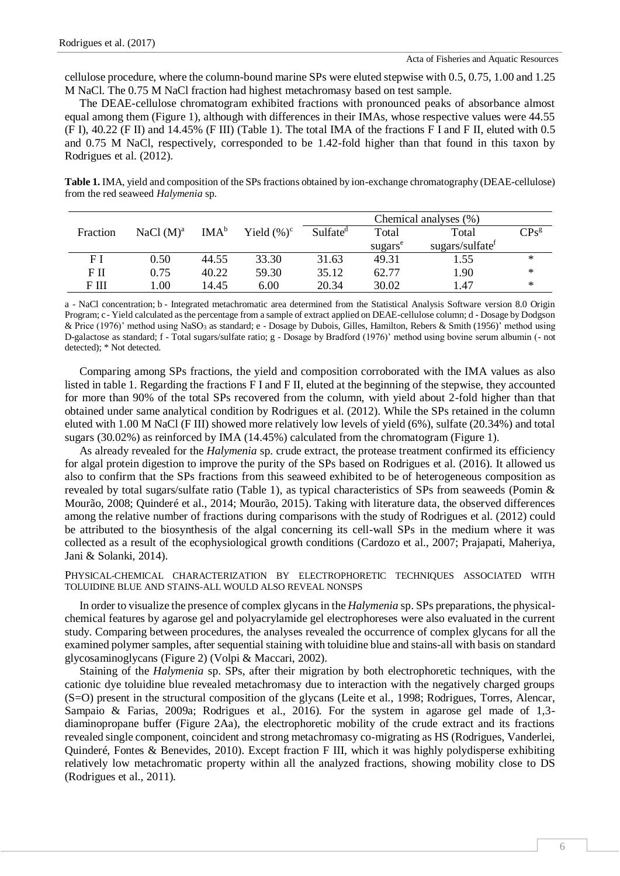cellulose procedure, where the column-bound marine SPs were eluted stepwise with 0.5, 0.75, 1.00 and 1.25 M NaCl. The 0.75 M NaCl fraction had highest metachromasy based on test sample.

The DEAE-cellulose chromatogram exhibited fractions with pronounced peaks of absorbance almost equal among them (Figure 1), although with differences in their IMAs, whose respective values were 44.55 (F I), 40.22 (F II) and 14.45% (F III) (Table 1). The total IMA of the fractions F I and F II, eluted with 0.5 and 0.75 M NaCl, respectively, corresponded to be 1.42-fold higher than that found in this taxon by Rodrigues et al. (2012).

**Table 1.** IMA, yield and composition of the SPs fractions obtained by ion-exchange chromatography (DEAE-cellulose) from the red seaweed *Halymenia* sp.

|          |              |                  |                | Chemical analyses (%) |                     |                             |                             |
|----------|--------------|------------------|----------------|-----------------------|---------------------|-----------------------------|-----------------------------|
| Fraction | NaCl $(M)^a$ | IMA <sup>b</sup> | Yield $(\%)^c$ | Sulfate <sup>d</sup>  | Total               | Total                       | $\mathrm{CPs}^{\mathrm{g}}$ |
|          |              |                  |                |                       | sugars <sup>e</sup> | sugars/sulfate <sup>f</sup> |                             |
| FΙ       | 0.50         | 44.55            | 33.30          | 31.63                 | 49.31               | 1.55                        | $\ast$                      |
| FП       | 0.75         | 40.22            | 59.30          | 35.12                 | 62.77               | 1.90                        | $\ast$                      |
| F III    | .00.         | 14.45            | 6.00           | 20.34                 | 30.02               | 1.47                        | ∗                           |

a - NaCl concentration; b - Integrated metachromatic area determined from the Statistical Analysis Software version 8.0 Origin Program; c - Yield calculated as the percentage from a sample of extract applied on DEAE-cellulose column; d - Dosage by Dodgson & Price (1976)' method using NaSO<sup>3</sup> as standard; e - Dosage by Dubois, Gilles, Hamilton, Rebers & Smith (1956)' method using D-galactose as standard; f - Total sugars/sulfate ratio; g - Dosage by Bradford (1976)' method using bovine serum albumin (- not detected); \* Not detected.

Comparing among SPs fractions, the yield and composition corroborated with the IMA values as also listed in table 1. Regarding the fractions F I and F II, eluted at the beginning of the stepwise, they accounted for more than 90% of the total SPs recovered from the column, with yield about 2-fold higher than that obtained under same analytical condition by Rodrigues et al. (2012). While the SPs retained in the column eluted with 1.00 M NaCl (F III) showed more relatively low levels of yield (6%), sulfate (20.34%) and total sugars (30.02%) as reinforced by IMA (14.45%) calculated from the chromatogram (Figure 1).

As already revealed for the *Halymenia* sp. crude extract, the protease treatment confirmed its efficiency for algal protein digestion to improve the purity of the SPs based on Rodrigues et al. (2016). It allowed us also to confirm that the SPs fractions from this seaweed exhibited to be of heterogeneous composition as revealed by total sugars/sulfate ratio (Table 1), as typical characteristics of SPs from seaweeds (Pomin & Mourão, 2008; Quinderé et al., 2014; Mourão, 2015). Taking with literature data, the observed differences among the relative number of fractions during comparisons with the study of Rodrigues et al. (2012) could be attributed to the biosynthesis of the algal concerning its cell-wall SPs in the medium where it was collected as a result of the ecophysiological growth conditions (Cardozo et al., 2007; Prajapati, Maheriya, Jani & Solanki, 2014).

PHYSICAL-CHEMICAL CHARACTERIZATION BY ELECTROPHORETIC TECHNIQUES ASSOCIATED WITH TOLUIDINE BLUE AND STAINS-ALL WOULD ALSO REVEAL NONSPS

In order to visualize the presence of complex glycans in the *Halymenia* sp. SPs preparations, the physicalchemical features by agarose gel and polyacrylamide gel electrophoreses were also evaluated in the current study. Comparing between procedures, the analyses revealed the occurrence of complex glycans for all the examined polymer samples, after sequential staining with toluidine blue and stains-all with basis on standard glycosaminoglycans (Figure 2) (Volpi & Maccari, 2002).

Staining of the *Halymenia* sp. SPs, after their migration by both electrophoretic techniques, with the cationic dye toluidine blue revealed metachromasy due to interaction with the negatively charged groups (S=O) present in the structural composition of the glycans (Leite et al., 1998; Rodrigues, Torres, Alencar, Sampaio & Farias, 2009a; Rodrigues et al., 2016). For the system in agarose gel made of 1,3 diaminopropane buffer (Figure 2Aa), the electrophoretic mobility of the crude extract and its fractions revealed single component, coincident and strong metachromasy co-migrating as HS (Rodrigues, Vanderlei, Quinderé, Fontes & Benevides, 2010). Except fraction F III, which it was highly polydisperse exhibiting relatively low metachromatic property within all the analyzed fractions, showing mobility close to DS (Rodrigues et al., 2011).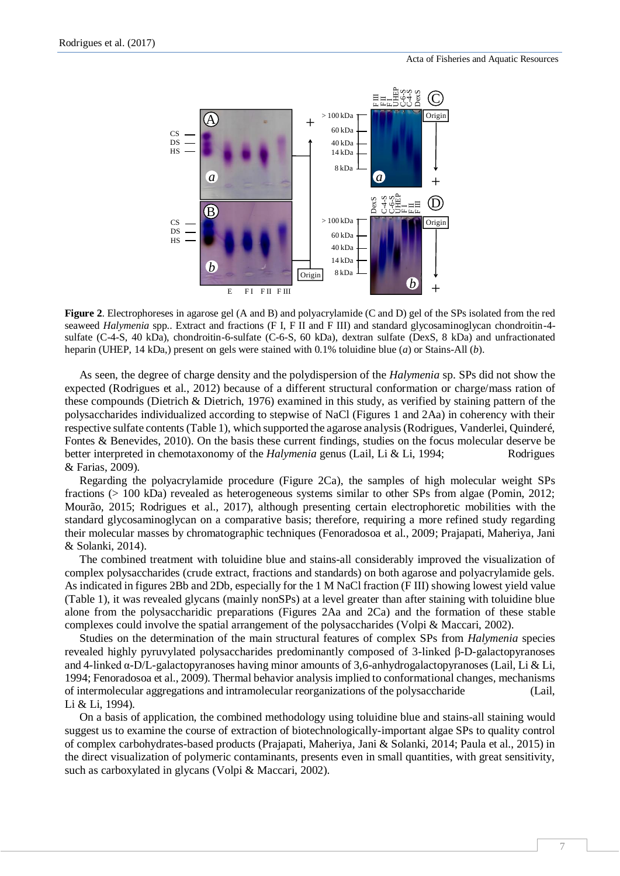

**Figure 2**. Electrophoreses in agarose gel (A and B) and polyacrylamide (C and D) gel of the SPs isolated from the red seaweed *Halymenia* spp.. Extract and fractions (F I, F II and F III) and standard glycosaminoglycan chondroitin-4 sulfate (C-4-S, 40 kDa), chondroitin-6-sulfate (C-6-S, 60 kDa), dextran sulfate (DexS, 8 kDa) and unfractionated heparin (UHEP, 14 kDa,) present on gels were stained with 0.1% toluidine blue (*a*) or Stains-All (*b*).

As seen, the degree of charge density and the polydispersion of the *Halymenia* sp. SPs did not show the expected (Rodrigues et al., 2012) because of a different structural conformation or charge/mass ration of these compounds (Dietrich & Dietrich, 1976) examined in this study, as verified by staining pattern of the polysaccharides individualized according to stepwise of NaCl (Figures 1 and 2Aa) in coherency with their respective sulfate contents (Table 1), which supported the agarose analysis (Rodrigues, Vanderlei, Quinderé, Fontes & Benevides, 2010). On the basis these current findings, studies on the focus molecular deserve be better interpreted in chemotaxonomy of the *Halymenia* genus (Lail, Li & Li, 1994; Rodrigues & Farias, 2009).

Regarding the polyacrylamide procedure (Figure 2Ca), the samples of high molecular weight SPs fractions (> 100 kDa) revealed as heterogeneous systems similar to other SPs from algae (Pomin, 2012; Mourão, 2015; Rodrigues et al., 2017), although presenting certain electrophoretic mobilities with the standard glycosaminoglycan on a comparative basis; therefore, requiring a more refined study regarding their molecular masses by chromatographic techniques (Fenoradosoa et al., 2009; Prajapati, Maheriya, Jani & Solanki, 2014).

The combined treatment with toluidine blue and stains-all considerably improved the visualization of complex polysaccharides (crude extract, fractions and standards) on both agarose and polyacrylamide gels. As indicated in figures 2Bb and 2Db, especially for the 1 M NaCl fraction (F III) showing lowest yield value (Table 1), it was revealed glycans (mainly nonSPs) at a level greater than after staining with toluidine blue alone from the polysaccharidic preparations (Figures 2Aa and 2Ca) and the formation of these stable complexes could involve the spatial arrangement of the polysaccharides (Volpi & Maccari, 2002).

Studies on the determination of the main structural features of complex SPs from *Halymenia* species revealed highly pyruvylated polysaccharides predominantly composed of 3-linked β-D-galactopyranoses and 4-linked α-D/L-galactopyranoses having minor amounts of 3,6-anhydrogalactopyranoses (Lail, Li & Li, 1994; Fenoradosoa et al., 2009). Thermal behavior analysis implied to conformational changes, mechanisms of intermolecular aggregations and intramolecular reorganizations of the polysaccharide (Lail, Li & Li, 1994).

On a basis of application, the combined methodology using toluidine blue and stains-all staining would suggest us to examine the course of extraction of biotechnologically-important algae SPs to quality control of complex carbohydrates-based products (Prajapati, Maheriya, Jani & Solanki, 2014; Paula et al., 2015) in the direct visualization of polymeric contaminants, presents even in small quantities, with great sensitivity, such as carboxylated in glycans (Volpi & Maccari, 2002).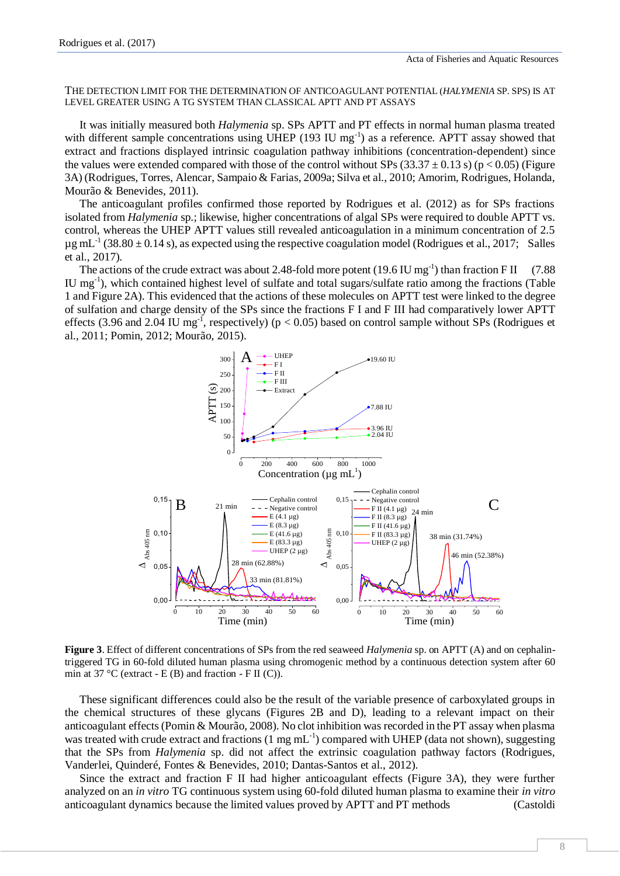THE DETECTION LIMIT FOR THE DETERMINATION OF ANTICOAGULANT POTENTIAL (*HALYMENIA* SP. SPS) IS AT LEVEL GREATER USING A TG SYSTEM THAN CLASSICAL APTT AND PT ASSAYS

It was initially measured both *Halymenia* sp. SPs APTT and PT effects in normal human plasma treated with different sample concentrations using UHEP (193 IU mg<sup>-1</sup>) as a reference. APTT assay showed that extract and fractions displayed intrinsic coagulation pathway inhibitions (concentration-dependent) since the values were extended compared with those of the control without SPs (33.37  $\pm$  0.13 s) (p < 0.05) (Figure 3A) (Rodrigues, Torres, Alencar, Sampaio & Farias, 2009a; Silva et al., 2010; Amorim, Rodrigues, Holanda, Mourão & Benevides, 2011).

The anticoagulant profiles confirmed those reported by Rodrigues et al. (2012) as for SPs fractions isolated from *Halymenia* sp.; likewise, higher concentrations of algal SPs were required to double APTT vs. control, whereas the UHEP APTT values still revealed anticoagulation in a minimum concentration of 2.5  $\mu$ g mL<sup>-1</sup> (38.80  $\pm$  0.14 s), as expected using the respective coagulation model (Rodrigues et al., 2017; Salles et al., 2017).

The actions of the crude extract was about 2.48-fold more potent  $(19.6 \text{ IU mg}^{-1})$  than fraction F II  $(7.88 \text{ V/m})$ IU mg<sup>-1</sup>), which contained highest level of sulfate and total sugars/sulfate ratio among the fractions (Table 1 and Figure 2A). This evidenced that the actions of these molecules on APTT test were linked to the degree of sulfation and charge density of the SPs since the fractions F I and F III had comparatively lower APTT effects (3.96 and 2.04 IU mg<sup>-1</sup>, respectively) ( $p < 0.05$ ) based on control sample without SPs (Rodrigues et al., 2011; Pomin, 2012; Mourão, 2015).



**Figure 3**. Effect of different concentrations of SPs from the red seaweed *Halymenia* sp. on APTT (A) and on cephalintriggered TG in 60-fold diluted human plasma using chromogenic method by a continuous detection system after 60 min at 37 °C (extract - E (B) and fraction - F II (C)).

These significant differences could also be the result of the variable presence of carboxylated groups in the chemical structures of these glycans (Figures 2B and D), leading to a relevant impact on their anticoagulant effects (Pomin & Mourão, 2008). No clot inhibition was recorded in the PT assay when plasma was treated with crude extract and fractions  $(1 \text{ mg mL}^{-1})$  compared with UHEP (data not shown), suggesting that the SPs from *Halymenia* sp. did not affect the extrinsic coagulation pathway factors (Rodrigues, Vanderlei, Quinderé, Fontes & Benevides, 2010; Dantas-Santos et al., 2012).

Since the extract and fraction F II had higher anticoagulant effects (Figure 3A), they were further analyzed on an *in vitro* TG continuous system using 60-fold diluted human plasma to examine their *in vitro* anticoagulant dynamics because the limited values proved by APTT and PT methods (Castoldi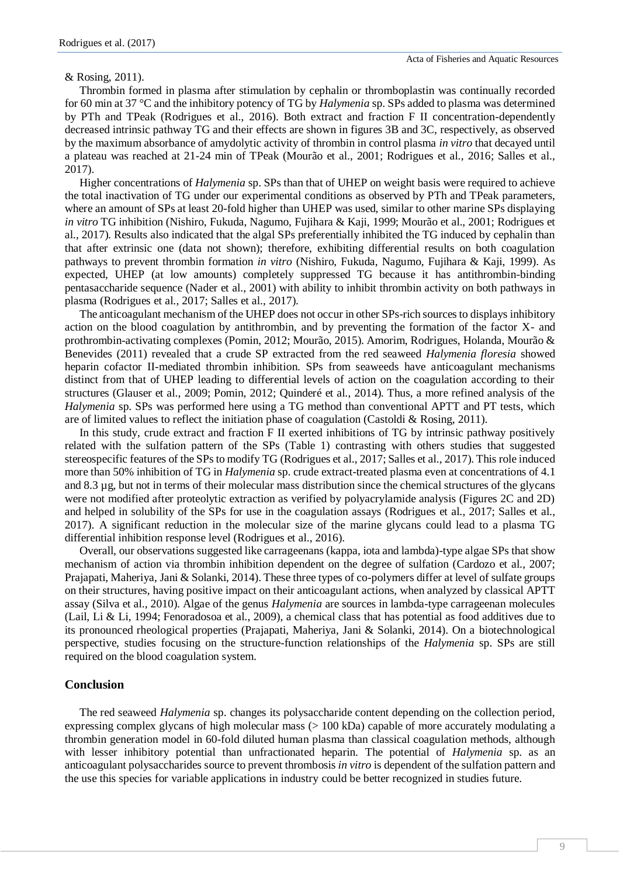& Rosing, 2011).

Thrombin formed in plasma after stimulation by cephalin or thromboplastin was continually recorded for 60 min at 37 °C and the inhibitory potency of TG by *Halymenia* sp. SPs added to plasma was determined by PTh and TPeak (Rodrigues et al., 2016). Both extract and fraction F II concentration-dependently decreased intrinsic pathway TG and their effects are shown in figures 3B and 3C, respectively, as observed by the maximum absorbance of amydolytic activity of thrombin in control plasma *in vitro* that decayed until a plateau was reached at 21-24 min of TPeak (Mourão et al., 2001; Rodrigues et al., 2016; Salles et al., 2017).

Higher concentrations of *Halymenia* sp. SPs than that of UHEP on weight basis were required to achieve the total inactivation of TG under our experimental conditions as observed by PTh and TPeak parameters, where an amount of SPs at least 20-fold higher than UHEP was used, similar to other marine SPs displaying *in vitro* TG inhibition (Nishiro, Fukuda, Nagumo, Fujihara & Kaji, 1999; Mourão et al., 2001; Rodrigues et al., 2017). Results also indicated that the algal SPs preferentially inhibited the TG induced by cephalin than that after extrinsic one (data not shown); therefore, exhibiting differential results on both coagulation pathways to prevent thrombin formation *in vitro* (Nishiro, Fukuda, Nagumo, Fujihara & Kaji, 1999). As expected, UHEP (at low amounts) completely suppressed TG because it has antithrombin-binding pentasaccharide sequence (Nader et al., 2001) with ability to inhibit thrombin activity on both pathways in plasma (Rodrigues et al., 2017; Salles et al., 2017).

The anticoagulant mechanism of the UHEP does not occur in other SPs-rich sources to displays inhibitory action on the blood coagulation by antithrombin, and by preventing the formation of the factor X- and prothrombin-activating complexes (Pomin, 2012; Mourão, 2015). Amorim, Rodrigues, Holanda, Mourão & Benevides (2011) revealed that a crude SP extracted from the red seaweed *Halymenia floresia* showed heparin cofactor II-mediated thrombin inhibition. SPs from seaweeds have anticoagulant mechanisms distinct from that of UHEP leading to differential levels of action on the coagulation according to their structures (Glauser et al., 2009; Pomin, 2012; Quinderé et al., 2014). Thus, a more refined analysis of the *Halymenia* sp. SPs was performed here using a TG method than conventional APTT and PT tests, which are of limited values to reflect the initiation phase of coagulation (Castoldi & Rosing, 2011).

In this study, crude extract and fraction F II exerted inhibitions of TG by intrinsic pathway positively related with the sulfation pattern of the SPs (Table 1) contrasting with others studies that suggested stereospecific features of the SPs to modify TG (Rodrigues et al., 2017; Salles et al., 2017). This role induced more than 50% inhibition of TG in *Halymenia* sp. crude extract-treated plasma even at concentrations of 4.1 and 8.3 µg, but not in terms of their molecular mass distribution since the chemical structures of the glycans were not modified after proteolytic extraction as verified by polyacrylamide analysis (Figures 2C and 2D) and helped in solubility of the SPs for use in the coagulation assays (Rodrigues et al., 2017; Salles et al., 2017). A significant reduction in the molecular size of the marine glycans could lead to a plasma TG differential inhibition response level (Rodrigues et al., 2016).

Overall, our observations suggested like carrageenans (kappa, iota and lambda)-type algae SPs that show mechanism of action via thrombin inhibition dependent on the degree of sulfation (Cardozo et al., 2007; Prajapati, Maheriya, Jani & Solanki, 2014). These three types of co-polymers differ at level of sulfate groups on their structures, having positive impact on their anticoagulant actions, when analyzed by classical APTT assay (Silva et al., 2010). Algae of the genus *Halymenia* are sources in lambda-type carrageenan molecules (Lail, Li & Li, 1994; Fenoradosoa et al., 2009), a chemical class that has potential as food additives due to its pronounced rheological properties (Prajapati, Maheriya, Jani & Solanki, 2014). On a biotechnological perspective, studies focusing on the structure-function relationships of the *Halymenia* sp. SPs are still required on the blood coagulation system.

# **Conclusion**

The red seaweed *Halymenia* sp. changes its polysaccharide content depending on the collection period, expressing complex glycans of high molecular mass (> 100 kDa) capable of more accurately modulating a thrombin generation model in 60-fold diluted human plasma than classical coagulation methods, although with lesser inhibitory potential than unfractionated heparin. The potential of *Halymenia* sp. as an anticoagulant polysaccharides source to prevent thrombosis *in vitro* is dependent of the sulfation pattern and the use this species for variable applications in industry could be better recognized in studies future.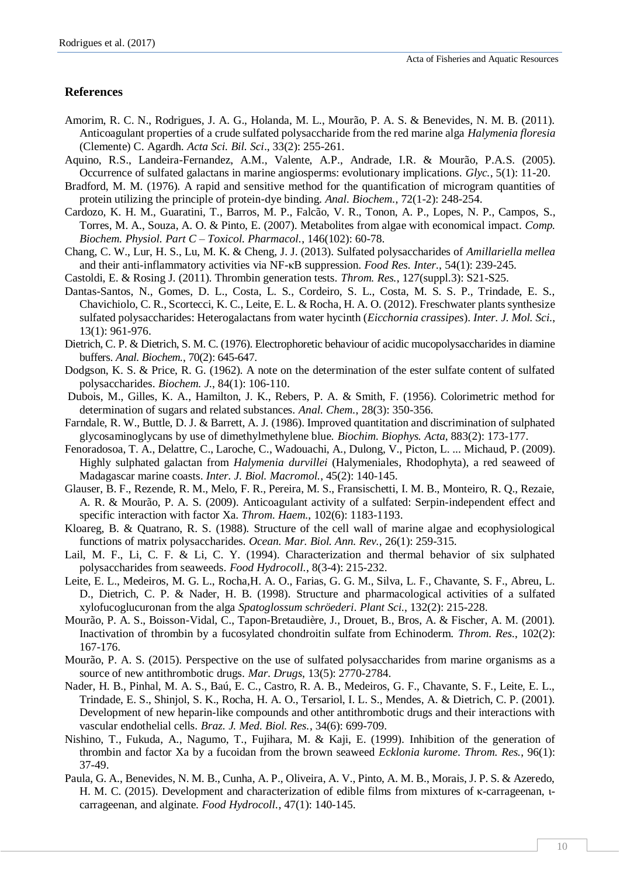# **References**

- Amorim, R. C. N., Rodrigues, J. A. G., Holanda, M. L., Mourão, P. A. S. & Benevides, N. M. B. (2011). Anticoagulant properties of a crude sulfated polysaccharide from the red marine alga *Halymenia floresia* (Clemente) C. Agardh. *Acta Sci. Bil. Sci*., 33(2): 255-261.
- Aquino, R.S., Landeira-Fernandez, A.M., Valente, A.P., Andrade, I.R. & Mourão, P.A.S. (2005). Occurrence of sulfated galactans in marine angiosperms: evolutionary implications. *Glyc.*, 5(1): 11-20.
- Bradford, M. M. (1976). A rapid and sensitive method for the quantification of microgram quantities of protein utilizing the principle of protein-dye binding. *Anal. Biochem.*, 72(1-2): 248-254.
- Cardozo, K. H. M., Guaratini, T., Barros, M. P., Falcão, V. R., Tonon, A. P., Lopes, N. P., Campos, S., Torres, M. A., Souza, A. O. & Pinto, E. (2007). Metabolites from algae with economical impact. *Comp. Biochem. Physiol. Part C – Toxicol. Pharmacol.*, 146(102): 60-78.
- Chang, C. W., Lur, H. S., Lu, M. K. & Cheng, J. J. (2013). Sulfated polysaccharides of *Amillariella mellea* and their anti-inflammatory activities via NF-κB suppression. *Food Res. Inter.*, 54(1): 239-245.
- Castoldi, E. & Rosing J. (2011). Thrombin generation tests. *Throm. Res.*, 127(suppl.3): S21-S25.
- Dantas-Santos, N., Gomes, D. L., Costa, L. S., Cordeiro, S. L., Costa, M. S. S. P., Trindade, E. S., Chavichiolo, C. R., Scortecci, K. C., Leite, E. L. & Rocha, H. A. O. (2012). Freschwater plants synthesize sulfated polysaccharides: Heterogalactans from water hycinth (*Eicchornia crassipes*). *Inter. J. Mol. Sci.*, 13(1): 961-976.
- Dietrich, C. P. & Dietrich, S. M. C. (1976). Electrophoretic behaviour of acidic mucopolysaccharides in diamine buffers. *Anal. Biochem.*, 70(2): 645-647.
- Dodgson, K. S. & Price, R. G. (1962). A note on the determination of the ester sulfate content of sulfated polysaccharides. *Biochem. J.*, 84(1): 106-110.
- Dubois, M., Gilles, K. A., Hamilton, J. K., Rebers, P. A. & Smith, F. (1956). Colorimetric method for determination of sugars and related substances. *Anal. Chem.*, 28(3): 350-356.
- Farndale, R. W., Buttle, D. J. & Barrett, A. J. (1986). Improved quantitation and discrimination of sulphated glycosaminoglycans by use of dimethylmethylene blue. *Biochim. Biophys. Acta*, 883(2): 173-177.
- Fenoradosoa, T. A., Delattre, C., Laroche, C., Wadouachi, A., Dulong, V., Picton, L. ... Michaud, P. (2009). Highly sulphated galactan from *Halymenia durvillei* (Halymeniales, Rhodophyta), a red seaweed of Madagascar marine coasts. *Inter. J. Biol. Macromol.*, 45(2): 140-145.
- Glauser, B. F., Rezende, R. M., Melo, F. R., Pereira, M. S., Fransischetti, I. M. B., Monteiro, R. Q., Rezaie, A. R. & Mourão, P. A. S. (2009). Anticoagulant activity of a sulfated: Serpin-independent effect and specific interaction with factor Xa. *Throm. Haem.*, 102(6): 1183-1193.
- Kloareg, B. & Quatrano, R. S. (1988). Structure of the cell wall of marine algae and ecophysiological functions of matrix polysaccharides. *Ocean. Mar. Biol. Ann. Rev.*, 26(1): 259-315.
- Lail, M. F., Li, C. F. & Li, C. Y. (1994). Characterization and thermal behavior of six sulphated polysaccharides from seaweeds. *Food Hydrocoll.*, 8(3-4): 215-232.
- Leite, E. L., Medeiros, M. G. L., Rocha,H. A. O., Farias, G. G. M., Silva, L. F., Chavante, S. F., Abreu, L. D., Dietrich, C. P. & Nader, H. B. (1998). Structure and pharmacological activities of a sulfated xylofucoglucuronan from the alga *Spatoglossum schröederi*. *Plant Sci*., 132(2): 215-228.
- Mourão, P. A. S., Boisson-Vidal, C., Tapon-Bretaudière, J., Drouet, B., Bros, A. & Fischer, A. M. (2001). Inactivation of thrombin by a fucosylated chondroitin sulfate from Echinoderm. *Throm. Res.*, 102(2): 167-176.
- Mourão, P. A. S. (2015). Perspective on the use of sulfated polysaccharides from marine organisms as a source of new antithrombotic drugs. *Mar. Drugs*, 13(5): 2770-2784.
- Nader, H. B., Pinhal, M. A. S., Baú, E. C., Castro, R. A. B., Medeiros, G. F., Chavante, S. F., Leite, E. L., Trindade, E. S., Shinjol, S. K., Rocha, H. A. O., Tersariol, I. L. S., Mendes, A. & Dietrich, C. P. (2001). Development of new heparin-like compounds and other antithrombotic drugs and their interactions with vascular endothelial cells. *Braz. J. Med. Biol. Res.*, 34(6): 699-709.
- Nishino, T., Fukuda, A., Nagumo, T., Fujihara, M. & Kaji, E. (1999). Inhibition of the generation of thrombin and factor Xa by a fucoidan from the brown seaweed *Ecklonia kurome*. *Throm. Res.*, 96(1): 37-49.
- Paula, G. A., Benevides, N. M. B., Cunha, A. P., Oliveira, A. V., Pinto, A. M. B., Morais, J. P. S. & Azeredo, H. M. C. (2015). Development and characterization of edible films from mixtures of κ-carrageenan, ιcarrageenan, and alginate. *Food Hydrocoll.*, 47(1): 140-145.